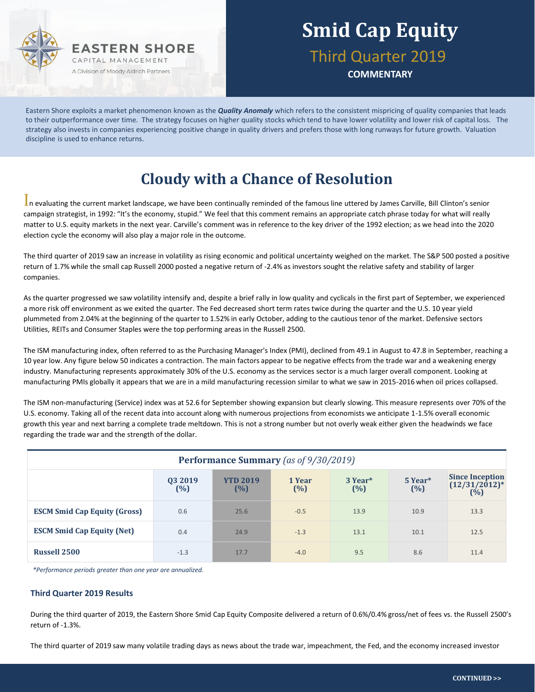

## **Smid Cap Equity** Third Quarter 2019

**COMMENTARY**

Eastern Shore exploits a market phenomenon known as the *Quality Anomaly* which refers to the consistent mispricing of quality companies that leads to their outperformance over time. The strategy focuses on higher quality stocks which tend to have lower volatility and lower risk of capital loss. The strategy also invests in companies experiencing positive change in quality drivers and prefers those with long runways for future growth. Valuation discipline is used to enhance returns.

### **Cloudy with a Chance of Resolution**

In evaluating the current market landscape, we have been continually reminded of the famous line uttered by James Carville, Bill Clinton's senior campaign strategist, in 1992: "It's the economy, stupid." We feel that this comment remains an appropriate catch phrase today for what will really matter to U.S. equity markets in the next year. Carville's comment was in reference to the key driver of the 1992 election; as we head into the 2020 election cycle the economy will also play a major role in the outcome.

The third quarter of 2019 saw an increase in volatility as rising economic and political uncertainty weighed on the market. The S&P 500 posted a positive return of 1.7% while the small cap Russell 2000 posted a negative return of -2.4% as investors sought the relative safety and stability of larger companies.

As the quarter progressed we saw volatility intensify and, despite a brief rally in low quality and cyclicals in the first part of September, we experienced a more risk off environment as we exited the quarter. The Fed decreased short term rates twice during the quarter and the U.S. 10 year yield plummeted from 2.04% at the beginning of the quarter to 1.52% in early October, adding to the cautious tenor of the market. Defensive sectors Utilities, REITs and Consumer Staples were the top performing areas in the Russell 2500.

The ISM manufacturing index, often referred to as the Purchasing Manager's Index (PMI), declined from 49.1 in August to 47.8 in September, reaching a 10 year low. Any figure below 50 indicates a contraction. The main factors appear to be negative effects from the trade war and a weakening energy industry. Manufacturing represents approximately 30% of the U.S. economy as the services sector is a much larger overall component. Looking at manufacturing PMIs globally it appears that we are in a mild manufacturing recession similar to what we saw in 2015-2016 when oil prices collapsed.

The ISM non-manufacturing (Service) index was at 52.6 for September showing expansion but clearly slowing. This measure represents over 70% of the U.S. economy. Taking all of the recent data into account along with numerous projections from economists we anticipate 1-1.5% overall economic growth this year and next barring a complete trade meltdown. This is not a strong number but not overly weak either given the headwinds we face regarding the trade war and the strength of the dollar.

| <b>Performance Summary</b> (as of 9/30/2019) |                |                        |                  |                            |                |                                                  |  |  |  |
|----------------------------------------------|----------------|------------------------|------------------|----------------------------|----------------|--------------------------------------------------|--|--|--|
|                                              | 03 2019<br>(%) | <b>YTD 2019</b><br>(%) | 1 Year<br>$(\%)$ | 3 Year <sup>*</sup><br>(%) | 5 Year*<br>(%) | <b>Since Inception</b><br>$(12/31/2012)*$<br>(%) |  |  |  |
| <b>ESCM Smid Cap Equity (Gross)</b>          | 0.6            | 25.6                   | $-0.5$           | 13.9                       | 10.9           | 13.3                                             |  |  |  |
| <b>ESCM Smid Cap Equity (Net)</b>            | 0.4            | 24.9                   | $-1.3$           | 13.1                       | 10.1           | 12.5                                             |  |  |  |
| <b>Russell 2500</b>                          | $-1.3$         | 17.7                   | $-4.0$           | 9.5                        | 8.6            | 11.4                                             |  |  |  |

*\*Performance periods greater than one year are annualized.*

#### **Third Quarter 2019 Results**

During the third quarter of 2019, the Eastern Shore Smid Cap Equity Composite delivered a return of 0.6%/0.4% gross/net of fees vs. the Russell 2500's return of -1.3%.

The third quarter of 2019 saw many volatile trading days as news about the trade war, impeachment, the Fed, and the economy increased investor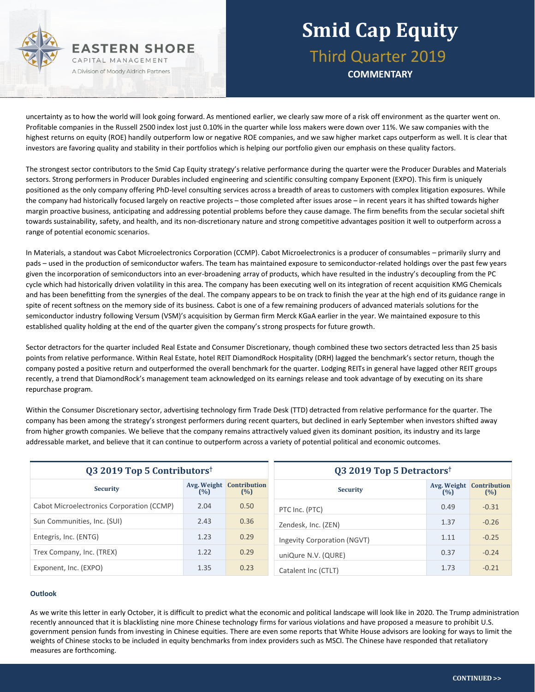

### **Smid Cap Equity** Third Quarter 2019 **COMMENTARY**

uncertainty as to how the world will look going forward. As mentioned earlier, we clearly saw more of a risk off environment as the quarter went on. Profitable companies in the Russell 2500 index lost just 0.10% in the quarter while loss makers were down over 11%. We saw companies with the highest returns on equity (ROE) handily outperform low or negative ROE companies, and we saw higher market caps outperform as well. It is clear that investors are favoring quality and stability in their portfolios which is helping our portfolio given our emphasis on these quality factors.

The strongest sector contributors to the Smid Cap Equity strategy's relative performance during the quarter were the Producer Durables and Materials sectors. Strong performers in Producer Durables included engineering and scientific consulting company Exponent (EXPO). This firm is uniquely positioned as the only company offering PhD-level consulting services across a breadth of areas to customers with complex litigation exposures. While the company had historically focused largely on reactive projects – those completed after issues arose – in recent years it has shifted towards higher margin proactive business, anticipating and addressing potential problems before they cause damage. The firm benefits from the secular societal shift towards sustainability, safety, and health, and its non-discretionary nature and strong competitive advantages position it well to outperform across a range of potential economic scenarios.

In Materials, a standout was Cabot Microelectronics Corporation (CCMP). Cabot Microelectronics is a producer of consumables – primarily slurry and pads – used in the production of semiconductor wafers. The team has maintained exposure to semiconductor-related holdings over the past few years given the incorporation of semiconductors into an ever-broadening array of products, which have resulted in the industry's decoupling from the PC cycle which had historically driven volatility in this area. The company has been executing well on its integration of recent acquisition KMG Chemicals and has been benefitting from the synergies of the deal. The company appears to be on track to finish the year at the high end of its guidance range in spite of recent softness on the memory side of its business. Cabot is one of a few remaining producers of advanced materials solutions for the semiconductor industry following Versum (VSM)'s acquisition by German firm Merck KGaA earlier in the year. We maintained exposure to this established quality holding at the end of the quarter given the company's strong prospects for future growth.

Sector detractors for the quarter included Real Estate and Consumer Discretionary, though combined these two sectors detracted less than 25 basis points from relative performance. Within Real Estate, hotel REIT DiamondRock Hospitality (DRH) lagged the benchmark's sector return, though the company posted a positive return and outperformed the overall benchmark for the quarter. Lodging REITs in general have lagged other REIT groups recently, a trend that DiamondRock's management team acknowledged on its earnings release and took advantage of by executing on its share repurchase program.

Within the Consumer Discretionary sector, advertising technology firm Trade Desk (TTD) detracted from relative performance for the quarter. The company has been among the strategy's strongest performers during recent quarters, but declined in early September when investors shifted away from higher growth companies. We believe that the company remains attractively valued given its dominant position, its industry and its large addressable market, and believe that it can continue to outperform across a variety of potential political and economic outcomes.

| Q3 2019 Top 5 Contributors <sup>†</sup>   |      |                                        | Q3 2019 Top 5 Detractors <sup>†</sup> |      |                                        |  |
|-------------------------------------------|------|----------------------------------------|---------------------------------------|------|----------------------------------------|--|
| <b>Security</b>                           | (%)  | <b>Avg. Weight Contribution</b><br>(%) | <b>Security</b>                       | (%)  | <b>Avg. Weight Contribution</b><br>(%) |  |
| Cabot Microelectronics Corporation (CCMP) | 2.04 | 0.50                                   | PTC Inc. (PTC)                        | 0.49 | $-0.31$                                |  |
| Sun Communities, Inc. (SUI)               | 2.43 | 0.36                                   | Zendesk, Inc. (ZEN)                   | 1.37 | $-0.26$                                |  |
| Entegris, Inc. (ENTG)                     | 1.23 | 0.29                                   | Ingevity Corporation (NGVT)           | 1.11 | $-0.25$                                |  |
| Trex Company, Inc. (TREX)                 | 1.22 | 0.29                                   | uniQure N.V. (QURE)                   | 0.37 | $-0.24$                                |  |
| Exponent, Inc. (EXPO)                     | 1.35 | 0.23                                   | Catalent Inc (CTLT)                   | 1.73 | $-0.21$                                |  |

#### **Outlook**

As we write this letter in early October, it is difficult to predict what the economic and political landscape will look like in 2020. The Trump administration recently announced that it is blacklisting nine more Chinese technology firms for various violations and have proposed a measure to prohibit U.S. government pension funds from investing in Chinese equities. There are even some reports that White House advisors are looking for ways to limit the weights of Chinese stocks to be included in equity benchmarks from index providers such as MSCI. The Chinese have responded that retaliatory measures are forthcoming.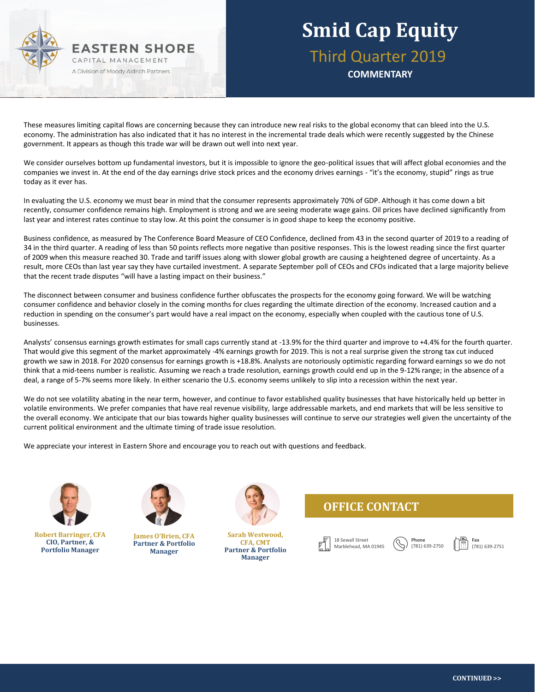

### **Smid Cap Equity** Third Quarter 2019

**COMMENTARY**

These measures limiting capital flows are concerning because they can introduce new real risks to the global economy that can bleed into the U.S. economy. The administration has also indicated that it has no interest in the incremental trade deals which were recently suggested by the Chinese government. It appears as though this trade war will be drawn out well into next year.

We consider ourselves bottom up fundamental investors, but it is impossible to ignore the geo-political issues that will affect global economies and the companies we invest in. At the end of the day earnings drive stock prices and the economy drives earnings - "it's the economy, stupid" rings as true today as it ever has.

In evaluating the U.S. economy we must bear in mind that the consumer represents approximately 70% of GDP. Although it has come down a bit recently, consumer confidence remains high. Employment is strong and we are seeing moderate wage gains. Oil prices have declined significantly from last year and interest rates continue to stay low. At this point the consumer is in good shape to keep the economy positive.

Business confidence, as measured by The Conference Board Measure of CEO Confidence, declined from 43 in the second quarter of 2019 to a reading of 34 in the third quarter. A reading of less than 50 points reflects more negative than positive responses. This is the lowest reading since the first quarter of 2009 when this measure reached 30. Trade and tariff issues along with slower global growth are causing a heightened degree of uncertainty. As a result, more CEOs than last year say they have curtailed investment. A separate September poll of CEOs and CFOs indicated that a large majority believe that the recent trade disputes "will have a lasting impact on their business."

The disconnect between consumer and business confidence further obfuscates the prospects for the economy going forward. We will be watching consumer confidence and behavior closely in the coming months for clues regarding the ultimate direction of the economy. Increased caution and a reduction in spending on the consumer's part would have a real impact on the economy, especially when coupled with the cautious tone of U.S. businesses.

Analysts' consensus earnings growth estimates for small caps currently stand at -13.9% for the third quarter and improve to +4.4% for the fourth quarter. That would give this segment of the market approximately -4% earnings growth for 2019. This is not a real surprise given the strong tax cut induced growth we saw in 2018. For 2020 consensus for earnings growth is +18.8%. Analysts are notoriously optimistic regarding forward earnings so we do not think that a mid-teens number is realistic. Assuming we reach a trade resolution, earnings growth could end up in the 9-12% range; in the absence of a deal, a range of 5-7% seems more likely. In either scenario the U.S. economy seems unlikely to slip into a recession within the next year.

We do not see volatility abating in the near term, however, and continue to favor established quality businesses that have historically held up better in volatile environments. We prefer companies that have real revenue visibility, large addressable markets, and end markets that will be less sensitive to the overall economy. We anticipate that our bias towards higher quality businesses will continue to serve our strategies well given the uncertainty of the current political environment and the ultimate timing of trade issue resolution.

We appreciate your interest in Eastern Shore and encourage you to reach out with questions and feedback.



**Robert Barringer, CFA CIO, Partner, & Portfolio Manager**



**James O'Brien, CFA Partner & Portfolio Manager**



**Sarah Westwood, CFA, CMT Partner & Portfolio Manager**

### **OFFICE CONTACT**